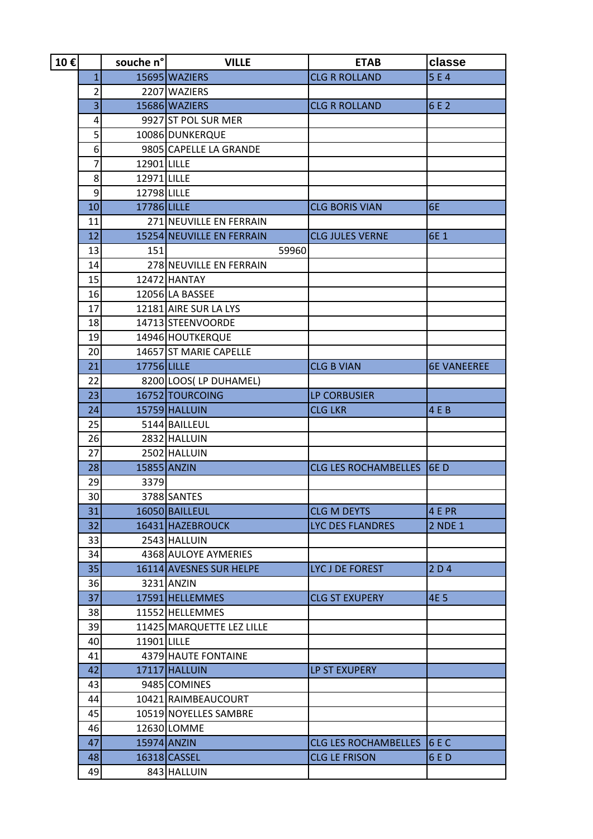| 10€ |                | souche n°   | <b>VILLE</b>              | <b>ETAB</b>                 | classe             |
|-----|----------------|-------------|---------------------------|-----------------------------|--------------------|
|     | 1              |             | 15695 WAZIERS             | <b>CLG R ROLLAND</b>        | 5E4                |
|     | $\overline{2}$ |             | 2207 WAZIERS              |                             |                    |
|     | $\overline{3}$ |             | 15686 WAZIERS             | <b>CLG R ROLLAND</b>        | 6 E 2              |
|     | 4              |             | 9927 ST POL SUR MER       |                             |                    |
|     | 5              |             | 10086 DUNKERQUE           |                             |                    |
|     | 6              |             | 9805 CAPELLE LA GRANDE    |                             |                    |
|     | 7              | 12901 LILLE |                           |                             |                    |
|     | 8              | 12971 LILLE |                           |                             |                    |
|     | 9              | 12798 LILLE |                           |                             |                    |
|     | 10             | 17786 LILLE |                           | <b>CLG BORIS VIAN</b>       | 6E                 |
|     | 11             |             | 271 NEUVILLE EN FERRAIN   |                             |                    |
|     | 12             |             | 15254 NEUVILLE EN FERRAIN | <b>CLG JULES VERNE</b>      | 6E 1               |
|     | 13             | 151         | 59960                     |                             |                    |
|     | 14             |             | 278 NEUVILLE EN FERRAIN   |                             |                    |
|     | 15             |             | 12472 HANTAY              |                             |                    |
|     | 16             |             | 12056 LA BASSEE           |                             |                    |
|     | 17             |             | 12181 AIRE SUR LA LYS     |                             |                    |
|     | 18             |             | 14713 STEENVOORDE         |                             |                    |
|     | 19             |             | 14946 HOUTKERQUE          |                             |                    |
|     | 20             |             | 14657 ST MARIE CAPELLE    |                             |                    |
|     | 21             | 17756 LILLE |                           | <b>CLG B VIAN</b>           | <b>6E VANEEREE</b> |
|     | 22             |             | 8200 LOOS(LP DUHAMEL)     |                             |                    |
|     | 23             |             | 16752 TOURCOING           | <b>LP CORBUSIER</b>         |                    |
|     | 24             |             | 15759 HALLUIN             | <b>CLG LKR</b>              | 4 E B              |
|     | 25             |             | 5144 BAILLEUL             |                             |                    |
|     | 26             |             | 2832 HALLUIN              |                             |                    |
|     | 27             |             | 2502 HALLUIN              |                             |                    |
|     | 28             | 15855 ANZIN |                           | <b>CLG LES ROCHAMBELLES</b> | 6ED                |
|     | 29             | 3379        |                           |                             |                    |
|     | 30             |             | 3788 SANTES               |                             |                    |
|     | 31             |             | 16050 BAILLEUL            | <b>CLG M DEYTS</b>          | 4 E PR             |
|     | 32             |             | 16431 HAZEBROUCK          | LYC DES FLANDRES            | 2 NDE 1            |
|     | 33             |             | 2543 HALLUIN              |                             |                    |
|     | 34             |             | 4368 AULOYE AYMERIES      |                             |                    |
|     | 35             |             | 16114 AVESNES SUR HELPE   | LYC J DE FOREST             | 2D4                |
|     | 36             |             | 3231 ANZIN                |                             |                    |
|     | 37             |             | 17591 HELLEMMES           | <b>CLG ST EXUPERY</b>       | <b>4E 5</b>        |
|     | 38             |             | 11552 HELLEMMES           |                             |                    |
|     | 39             |             | 11425 MARQUETTE LEZ LILLE |                             |                    |
|     | 40             | 11901 LILLE |                           |                             |                    |
|     | 41             |             | 4379 HAUTE FONTAINE       |                             |                    |
|     | 42             |             | 17117 HALLUIN             | LP ST EXUPERY               |                    |
|     | 43             |             | 9485 COMINES              |                             |                    |
|     | 44             |             | 10421 RAIMBEAUCOURT       |                             |                    |
|     | 45             |             | 10519 NOYELLES SAMBRE     |                             |                    |
|     | 46             |             | 12630 LOMME               |                             |                    |
|     | 47             |             | 15974 ANZIN               | <b>CLG LES ROCHAMBELLES</b> | 6EC                |
|     | 48             |             | 16318 CASSEL              | <b>CLG LE FRISON</b>        | 6 E D              |
|     | 49             |             | 843 HALLUIN               |                             |                    |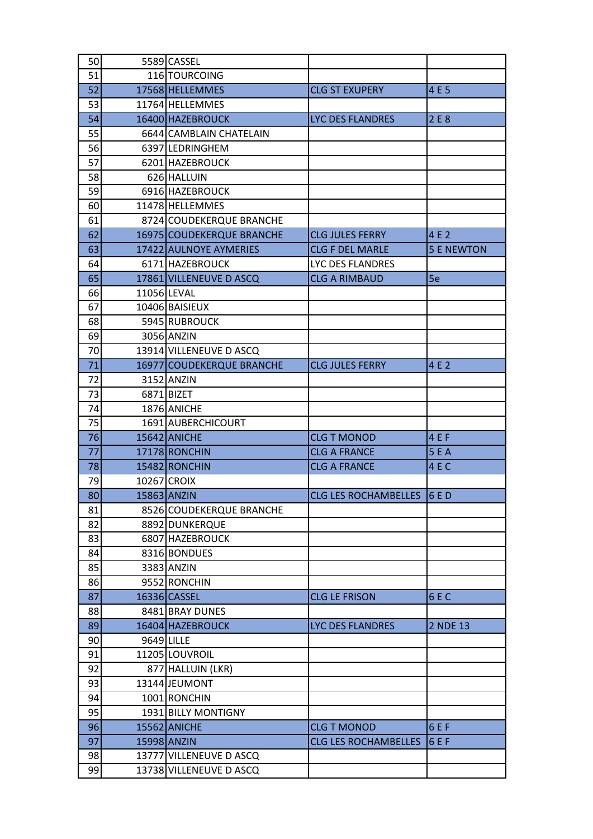| 50 |            | 5589 CASSEL               |                             |                   |
|----|------------|---------------------------|-----------------------------|-------------------|
| 51 |            | 116 TOURCOING             |                             |                   |
| 52 |            | 17568 HELLEMMES           | <b>CLG ST EXUPERY</b>       | 4 E 5             |
| 53 |            | 11764 HELLEMMES           |                             |                   |
| 54 |            | 16400 HAZEBROUCK          | LYC DES FLANDRES            | 2 E 8             |
| 55 |            | 6644 CAMBLAIN CHATELAIN   |                             |                   |
| 56 |            | 6397 LEDRINGHEM           |                             |                   |
| 57 |            | 6201 HAZEBROUCK           |                             |                   |
| 58 |            | 626 HALLUIN               |                             |                   |
| 59 |            | 6916 HAZEBROUCK           |                             |                   |
| 60 |            | 11478 HELLEMMES           |                             |                   |
| 61 |            | 8724 COUDEKERQUE BRANCHE  |                             |                   |
| 62 |            | 16975 COUDEKERQUE BRANCHE | <b>CLG JULES FERRY</b>      | 4 E 2             |
| 63 |            | 17422 AULNOYE AYMERIES    | <b>CLG F DEL MARLE</b>      | <b>5 E NEWTON</b> |
| 64 |            | 6171 HAZEBROUCK           | LYC DES FLANDRES            |                   |
| 65 |            | 17861 VILLENEUVE D ASCQ   | <b>CLG A RIMBAUD</b>        | 5e                |
| 66 |            | 11056 LEVAL               |                             |                   |
| 67 |            | 10406 BAISIEUX            |                             |                   |
| 68 |            | 5945 RUBROUCK             |                             |                   |
| 69 |            | 3056 ANZIN                |                             |                   |
| 70 |            | 13914 VILLENEUVE D ASCQ   |                             |                   |
| 71 |            | 16977 COUDEKERQUE BRANCHE | <b>CLG JULES FERRY</b>      | 4 E 2             |
| 72 |            | 3152 ANZIN                |                             |                   |
| 73 |            | 6871 BIZET                |                             |                   |
| 74 |            | 1876 ANICHE               |                             |                   |
| 75 |            | 1691 AUBERCHICOURT        |                             |                   |
| 76 |            | 15642 ANICHE              | <b>CLG T MONOD</b>          | 4 E F             |
| 77 |            | 17178 RONCHIN             | <b>CLG A FRANCE</b>         | 5 E A             |
| 78 |            | 15482 RONCHIN             | <b>CLG A FRANCE</b>         | 4EC               |
| 79 |            | 10267 CROIX               |                             |                   |
| 80 |            | 15863 ANZIN               | CLG LES ROCHAMBELLES 16 E D |                   |
| 81 |            | 8526 COUDEKERQUE BRANCHE  |                             |                   |
| 82 |            | 8892 DUNKERQUE            |                             |                   |
| 83 |            | 6807 HAZEBROUCK           |                             |                   |
| 84 |            | 8316 BONDUES              |                             |                   |
| 85 |            | 3383 ANZIN                |                             |                   |
| 86 |            | 9552 RONCHIN              |                             |                   |
| 87 |            | 16336 CASSEL              | <b>CLG LE FRISON</b>        | 6EC               |
| 88 |            | 8481 BRAY DUNES           |                             |                   |
| 89 |            | 16404 HAZEBROUCK          | <b>LYC DES FLANDRES</b>     | 2 NDE 13          |
| 90 | 9649 LILLE |                           |                             |                   |
| 91 |            | 11205 LOUVROIL            |                             |                   |
| 92 |            | 877 HALLUIN (LKR)         |                             |                   |
| 93 |            | 13144 JEUMONT             |                             |                   |
| 94 |            | 1001 RONCHIN              |                             |                   |
| 95 |            | 1931 BILLY MONTIGNY       |                             |                   |
| 96 |            | 15562 ANICHE              | <b>CLG T MONOD</b>          | 6 E F             |
| 97 |            | 15998 ANZIN               | <b>CLG LES ROCHAMBELLES</b> | 6 E F             |
| 98 |            | 13777 VILLENEUVE D ASCQ   |                             |                   |
|    |            |                           |                             |                   |
| 99 |            | 13738 VILLENEUVE D ASCQ   |                             |                   |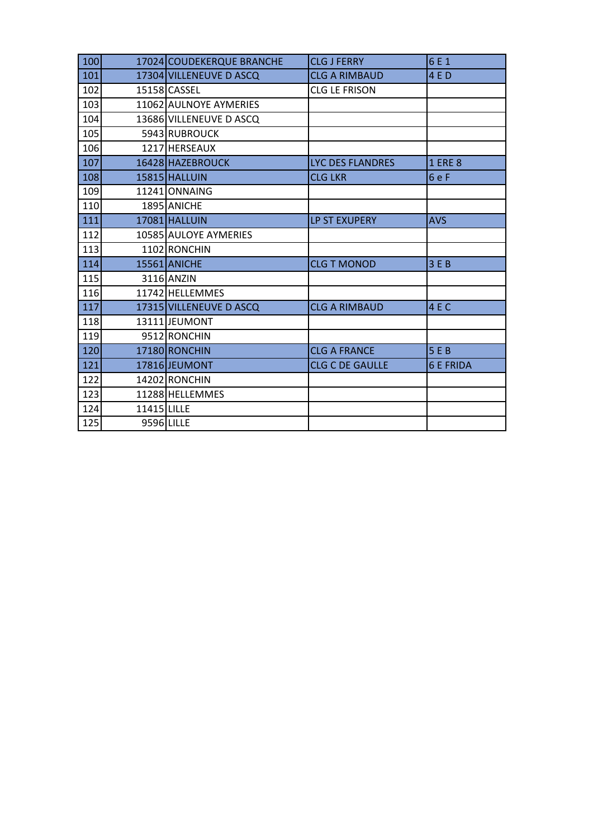| 100                            |             | 17024 COUDEKERQUE BRANCHE | <b>CLG J FERRY</b>      | 6 E 1            |
|--------------------------------|-------------|---------------------------|-------------------------|------------------|
| 101<br>17304 VILLENEUVE D ASCQ |             | <b>CLG A RIMBAUD</b>      | 4 E D                   |                  |
| 102                            |             | 15158 CASSEL              | <b>CLG LE FRISON</b>    |                  |
| 103                            |             | 11062 AULNOYE AYMERIES    |                         |                  |
| 104                            |             | 13686 VILLENEUVE D ASCQ   |                         |                  |
| 105                            |             | 5943 RUBROUCK             |                         |                  |
| 106                            |             | 1217 HERSEAUX             |                         |                  |
| 107                            |             | 16428 HAZEBROUCK          | <b>LYC DES FLANDRES</b> | <b>1 ERE 8</b>   |
| 108                            |             | 15815 HALLUIN             | <b>CLG LKR</b>          | 6eF              |
| 109                            |             | 11241 ONNAING             |                         |                  |
| 110                            |             | 1895 ANICHE               |                         |                  |
| 111                            |             | 17081 HALLUIN             | <b>LP ST EXUPERY</b>    | <b>AVS</b>       |
| 112                            |             | 10585 AULOYE AYMERIES     |                         |                  |
| 113                            |             | 1102 RONCHIN              |                         |                  |
| 114                            |             | <b>15561 ANICHE</b>       | <b>CLG T MONOD</b>      | 3E               |
| 115                            |             | 3116 ANZIN                |                         |                  |
| 116                            |             | 11742 HELLEMMES           |                         |                  |
| 117                            |             | 17315 VILLENEUVE D ASCQ   | <b>CLG A RIMBAUD</b>    | 4 E C            |
| 118                            |             | 13111UEUMONT              |                         |                  |
| 119                            |             | 9512 RONCHIN              |                         |                  |
| 120                            |             | 17180 RONCHIN             | <b>CLG A FRANCE</b>     | 5E               |
| 121                            |             | 17816 JEUMONT             | <b>CLG C DE GAULLE</b>  | <b>6 E FRIDA</b> |
| 122                            |             | 14202 RONCHIN             |                         |                  |
| 123                            |             | 11288 HELLEMMES           |                         |                  |
| 124                            | 11415 LILLE |                           |                         |                  |
| 125                            |             | 9596 LILLE                |                         |                  |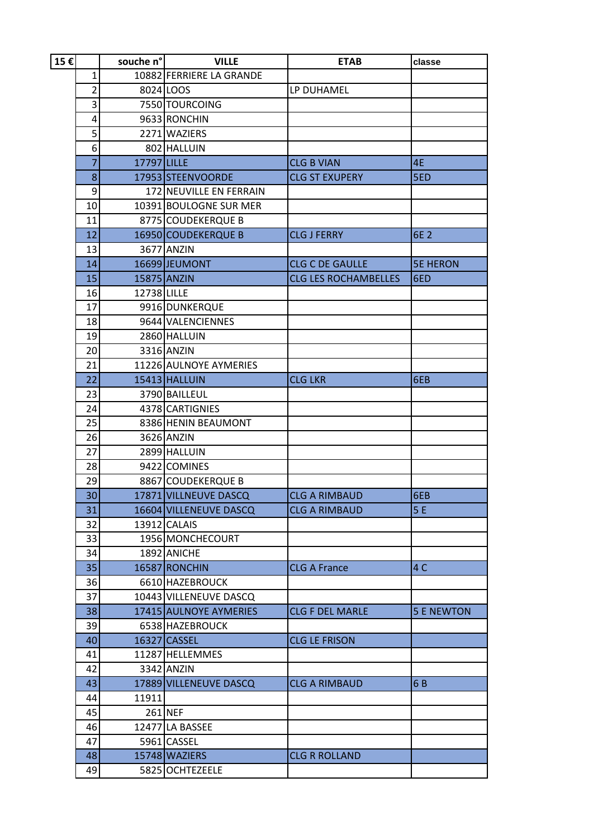| 15€ | souche n°l                  |                          | <b>VILLE</b>            | <b>ETAB</b>                 | classe            |
|-----|-----------------------------|--------------------------|-------------------------|-----------------------------|-------------------|
|     | 1                           | 10882 FERRIERE LA GRANDE |                         |                             |                   |
|     | $\overline{2}$<br>8024 LOOS |                          |                         | LP DUHAMEL                  |                   |
|     | 3                           |                          | 7550 TOURCOING          |                             |                   |
|     | 4                           |                          | 9633 RONCHIN            |                             |                   |
|     | 5                           |                          | 2271 WAZIERS            |                             |                   |
|     | 6                           |                          | 802 HALLUIN             |                             |                   |
|     | 7                           | 17797 LILLE              |                         | <b>CLG B VIAN</b>           | 4E                |
|     | 8                           |                          | 17953 STEENVOORDE       | <b>CLG ST EXUPERY</b>       | 5ED               |
|     | 9                           |                          | 172 NEUVILLE EN FERRAIN |                             |                   |
|     | 10                          |                          | 10391 BOULOGNE SUR MER  |                             |                   |
|     | 11                          |                          | 8775 COUDEKERQUE B      |                             |                   |
|     | 12                          |                          | 16950 COUDEKERQUE B     | <b>CLG J FERRY</b>          | 6E 2              |
|     | 13                          |                          | 3677 ANZIN              |                             |                   |
|     | 14                          |                          | 16699 JEUMONT           | <b>CLG C DE GAULLE</b>      | <b>5E HERON</b>   |
|     | 15                          |                          | 15875 ANZIN             | <b>CLG LES ROCHAMBELLES</b> | 6ED               |
|     | 16                          | 12738 LILLE              |                         |                             |                   |
|     | 17                          |                          | 9916 DUNKERQUE          |                             |                   |
|     | 18                          |                          | 9644 VALENCIENNES       |                             |                   |
|     | 19                          |                          | 2860 HALLUIN            |                             |                   |
|     | 20                          |                          | 3316 ANZIN              |                             |                   |
|     | 21<br>22<br>23<br>24<br>25  |                          | 11226 AULNOYE AYMERIES  |                             |                   |
|     |                             |                          | 15413 HALLUIN           | <b>CLG LKR</b>              | 6EB               |
|     |                             |                          | 3790 BAILLEUL           |                             |                   |
|     |                             |                          | 4378 CARTIGNIES         |                             |                   |
|     |                             |                          | 8386 HENIN BEAUMONT     |                             |                   |
|     | 26                          |                          | 3626 ANZIN              |                             |                   |
|     | 27                          |                          | 2899 HALLUIN            |                             |                   |
|     | 28                          |                          | 9422 COMINES            |                             |                   |
|     | 29                          |                          | 8867 COUDEKERQUE B      |                             |                   |
|     | 30                          |                          | 17871 VILLNEUVE DASCQ   | <b>CLG A RIMBAUD</b>        | 6EB               |
|     | 31                          |                          | 16604 VILLENEUVE DASCQ  | <b>CLG A RIMBAUD</b>        | 5E                |
|     | 32                          |                          | 13912 CALAIS            |                             |                   |
|     | 33                          |                          | 1956 MONCHECOURT        |                             |                   |
|     | 34                          |                          | 1892 ANICHE             |                             |                   |
|     | 35                          |                          | 16587 RONCHIN           | <b>CLG A France</b>         | 4C                |
|     | 36                          |                          | 6610 HAZEBROUCK         |                             |                   |
|     | 37                          |                          | 10443 VILLENEUVE DASCQ  |                             |                   |
|     | 38                          |                          | 17415 AULNOYE AYMERIES  | <b>CLG F DEL MARLE</b>      | <b>5 E NEWTON</b> |
|     | 39                          |                          | 6538 HAZEBROUCK         |                             |                   |
|     | 40                          |                          | 16327 CASSEL            | <b>CLG LE FRISON</b>        |                   |
|     | 41                          |                          | 11287 HELLEMMES         |                             |                   |
|     | 42                          |                          | 3342 ANZIN              |                             |                   |
|     | 43                          |                          | 17889 VILLENEUVE DASCQ  | <b>CLG A RIMBAUD</b>        | 6B                |
|     | 44                          | 11911                    |                         |                             |                   |
|     | 45                          |                          | 261 NEF                 |                             |                   |
|     | 46                          |                          | 12477 LA BASSEE         |                             |                   |
|     | 47                          |                          | 5961 CASSEL             |                             |                   |
|     | 48                          |                          | 15748 WAZIERS           | <b>CLG R ROLLAND</b>        |                   |
|     | 49                          |                          | 5825 OCHTEZEELE         |                             |                   |
|     |                             |                          |                         |                             |                   |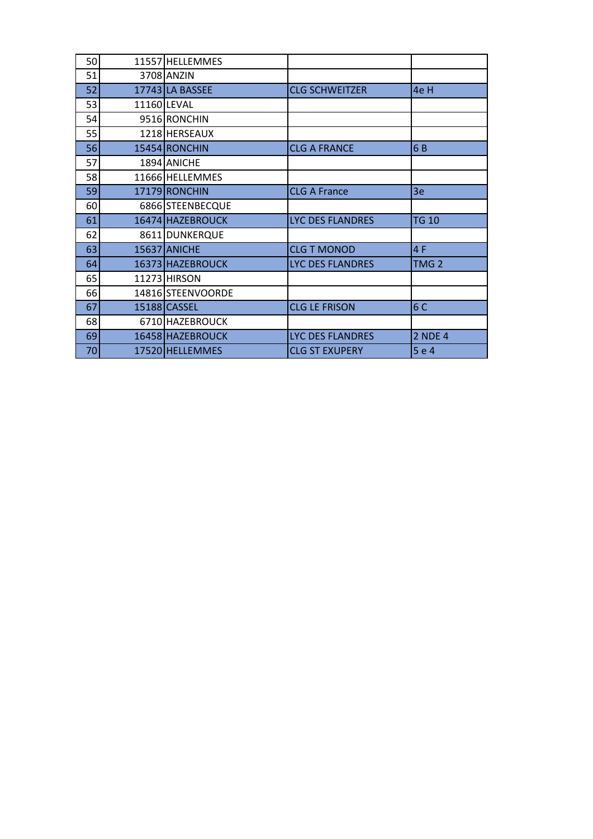| 50 | 11557 HELLEMMES     |                         |                  |
|----|---------------------|-------------------------|------------------|
| 51 | 3708 ANZIN          |                         |                  |
| 52 | 17743 LA BASSEE     | <b>CLG SCHWEITZER</b>   | 4e H             |
| 53 | 11160 LEVAL         |                         |                  |
| 54 | 9516 RONCHIN        |                         |                  |
| 55 | 1218 HERSEAUX       |                         |                  |
| 56 | 15454 RONCHIN       | <b>CLG A FRANCE</b>     | 6B               |
| 57 | 1894 ANICHE         |                         |                  |
| 58 | 11666 HELLEMMES     |                         |                  |
| 59 | 17179 RONCHIN       | <b>CLG A France</b>     | 3e               |
| 60 | 6866 STEENBECQUE    |                         |                  |
| 61 | 16474 HAZEBROUCK    | LYC DES FLANDRES        | <b>TG 10</b>     |
| 62 | 8611 DUNKERQUE      |                         |                  |
| 63 | <b>15637 ANICHE</b> | <b>CLG T MONOD</b>      | 4 F              |
| 64 | 16373 HAZEBROUCK    | <b>LYC DES FLANDRES</b> | TMG <sub>2</sub> |
| 65 | 11273 HIRSON        |                         |                  |
| 66 | 14816 STEENVOORDE   |                         |                  |
| 67 | 15188 CASSEL        | <b>CLG LE FRISON</b>    | 6 C              |
| 68 | 6710 HAZEBROUCK     |                         |                  |
| 69 | 16458 HAZEBROUCK    | <b>LYC DES FLANDRES</b> | <b>2 NDE 4</b>   |
| 70 | 17520 HELLEMMES     | <b>CLG ST EXUPERY</b>   | 5 e 4            |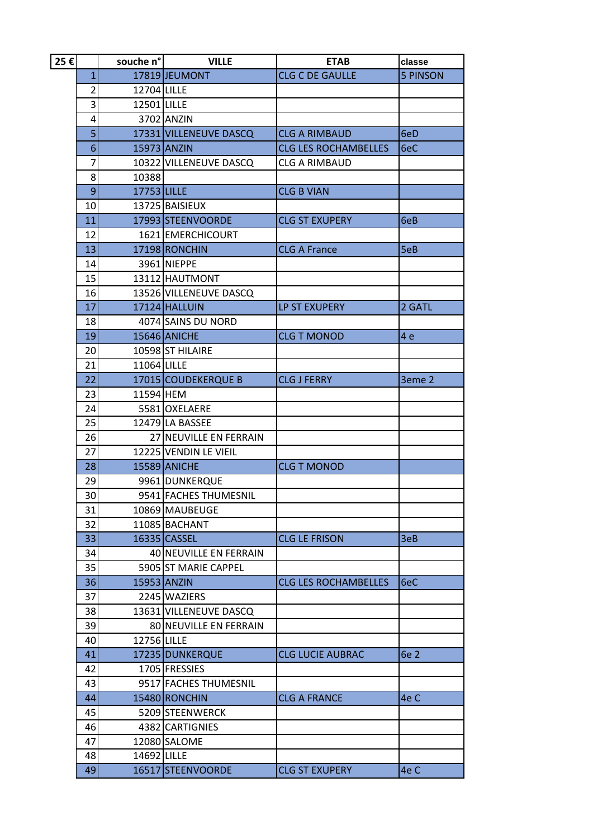| 25€ | souche n°                   |             | <b>VILLE</b>                        | <b>ETAB</b>                 | classe          |
|-----|-----------------------------|-------------|-------------------------------------|-----------------------------|-----------------|
|     | $\mathbf{1}$                |             | 17819 JEUMONT                       | <b>CLG C DE GAULLE</b>      | <b>5 PINSON</b> |
|     | $\overline{2}$              | 12704 LILLE |                                     |                             |                 |
|     | $\overline{\mathbf{3}}$     | 12501 LILLE |                                     |                             |                 |
|     | 4                           |             | 3702 ANZIN                          |                             |                 |
|     | 5                           |             | 17331 VILLENEUVE DASCQ              | <b>CLG A RIMBAUD</b>        | 6eD             |
|     | 6                           | 15973 ANZIN |                                     | <b>CLG LES ROCHAMBELLES</b> | 6eC             |
|     | 7                           |             | 10322 VILLENEUVE DASCQ              | <b>CLG A RIMBAUD</b>        |                 |
|     | 8                           | 10388       |                                     |                             |                 |
|     | $\overline{9}$              | 17753 LILLE |                                     | <b>CLG B VIAN</b>           |                 |
|     | 10                          |             | 13725 BAISIEUX                      |                             |                 |
|     | 11                          |             | 17993 STEENVOORDE                   | <b>CLG ST EXUPERY</b>       | 6eB             |
|     | 12                          |             | 1621 EMERCHICOURT                   |                             |                 |
|     | 13                          |             | 17198 RONCHIN                       | <b>CLG A France</b>         | 5eB             |
|     | 14                          |             | 3961 NIEPPE                         |                             |                 |
|     | 15                          |             | 13112 HAUTMONT                      |                             |                 |
|     | 16                          |             | 13526 VILLENEUVE DASCQ              |                             |                 |
|     | 17                          |             | 17124 HALLUIN                       | LP ST EXUPERY               | 2 GATL          |
|     | 18                          |             | 4074 SAINS DU NORD                  |                             |                 |
|     | 19                          |             | 15646 ANICHE                        | <b>CLG T MONOD</b>          | 4 <sub>e</sub>  |
|     | 20                          |             | 10598 ST HILAIRE                    |                             |                 |
|     | 21                          |             | 11064 LILLE                         |                             |                 |
|     | 22                          |             | 17015 COUDEKERQUE B                 | <b>CLG J FERRY</b>          | 3eme 2          |
|     | 23<br>11594 HEM<br>24<br>25 |             |                                     |                             |                 |
|     |                             |             | 5581 OXELAERE                       |                             |                 |
|     |                             |             | 12479 LA BASSEE                     |                             |                 |
|     | 26                          |             | 27 NEUVILLE EN FERRAIN              |                             |                 |
|     | 27                          |             | 12225 VENDIN LE VIEIL               |                             |                 |
|     | 28                          |             | <b>15589 ANICHE</b>                 | <b>CLG T MONOD</b>          |                 |
|     | 29                          |             | 9961 DUNKERQUE                      |                             |                 |
|     | 30<br>31                    |             | 9541 FACHES THUMESNIL               |                             |                 |
|     |                             |             | 10869 MAUBEUGE                      |                             |                 |
|     | 32                          |             | 11085 BACHANT                       |                             |                 |
|     | 33                          |             | 16335 CASSEL                        | <b>CLG LE FRISON</b>        | 3eB             |
|     | 34                          |             | 40 NEUVILLE EN FERRAIN              |                             |                 |
|     | 35                          |             | 5905 ST MARIE CAPPEL<br>15953 ANZIN | <b>CLG LES ROCHAMBELLES</b> | 6eC             |
|     | 36<br>37                    |             | 2245 WAZIERS                        |                             |                 |
|     | 38                          |             | 13631 VILLENEUVE DASCQ              |                             |                 |
|     | 39                          |             | 80 NEUVILLE EN FERRAIN              |                             |                 |
|     | 40                          | 12756 LILLE |                                     |                             |                 |
|     | 41                          |             | 17235 DUNKERQUE                     | <b>CLG LUCIE AUBRAC</b>     | <b>6e 2</b>     |
|     | 42                          |             | 1705 FRESSIES                       |                             |                 |
|     | 43                          |             | 9517 FACHES THUMESNIL               |                             |                 |
|     | 44                          |             | 15480 RONCHIN                       | <b>CLG A FRANCE</b>         | 4e C            |
|     | 45                          |             | 5209 STEENWERCK                     |                             |                 |
|     | 46                          |             | 4382 CARTIGNIES                     |                             |                 |
|     | 47                          |             | 12080 SALOME                        |                             |                 |
|     | 48                          | 14692 LILLE |                                     |                             |                 |
|     | 49                          |             | 16517 STEENVOORDE                   | <b>CLG ST EXUPERY</b>       | 4e C            |
|     |                             |             |                                     |                             |                 |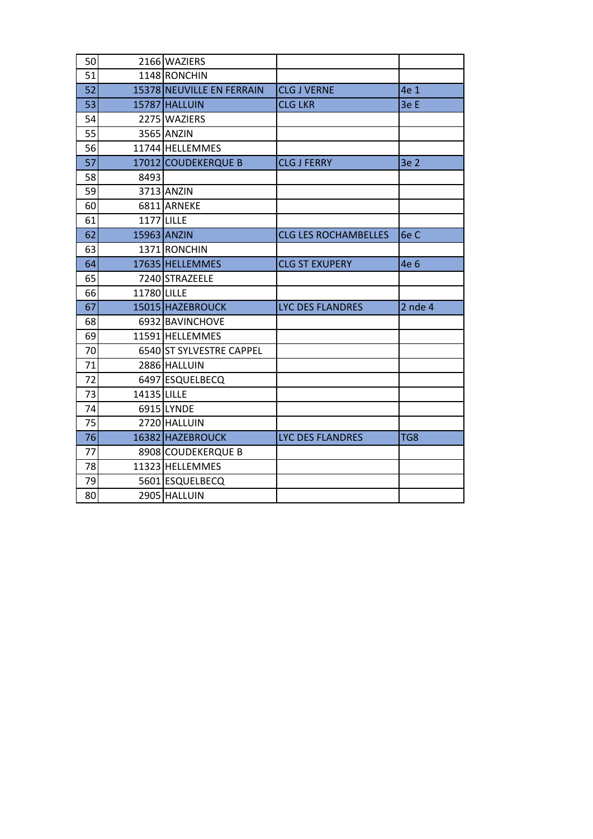| 50 |             | 2166 WAZIERS              |                             |             |
|----|-------------|---------------------------|-----------------------------|-------------|
| 51 |             | 1148 RONCHIN              |                             |             |
| 52 |             | 15378 NEUVILLE EN FERRAIN | <b>CLG J VERNE</b>          | 4e 1        |
| 53 |             | 15787 HALLUIN             | <b>CLG LKR</b>              | 3e E        |
| 54 |             | 2275 WAZIERS              |                             |             |
| 55 |             | 3565 ANZIN                |                             |             |
| 56 |             | 11744 HELLEMMES           |                             |             |
| 57 |             | 17012 COUDEKERQUE B       | <b>CLG J FERRY</b>          | 3e 2        |
| 58 | 8493        |                           |                             |             |
| 59 |             | 3713 ANZIN                |                             |             |
| 60 |             | 6811 ARNEKE               |                             |             |
| 61 | 1177 LILLE  |                           |                             |             |
| 62 | 15963 ANZIN |                           | <b>CLG LES ROCHAMBELLES</b> | 6e C        |
| 63 |             | 1371 RONCHIN              |                             |             |
| 64 |             | 17635 HELLEMMES           | <b>CLG ST EXUPERY</b>       | 4e 6        |
| 65 |             | 7240 STRAZEELE            |                             |             |
| 66 | 11780 LILLE |                           |                             |             |
| 67 |             | 15015 HAZEBROUCK          | <b>LYC DES FLANDRES</b>     | $2$ nde $4$ |
| 68 |             | 6932 BAVINCHOVE           |                             |             |
| 69 |             | 11591 HELLEMMES           |                             |             |
| 70 |             | 6540 ST SYLVESTRE CAPPEL  |                             |             |
| 71 |             | 2886 HALLUIN              |                             |             |
| 72 |             | 6497 ESQUELBECQ           |                             |             |
| 73 | 14135 LILLE |                           |                             |             |
| 74 |             | 6915 LYNDE                |                             |             |
| 75 |             | 2720 HALLUIN              |                             |             |
| 76 |             | 16382 HAZEBROUCK          | <b>LYC DES FLANDRES</b>     | TG8         |
| 77 |             | 8908 COUDEKERQUE B        |                             |             |
| 78 |             | 11323 HELLEMMES           |                             |             |
| 79 |             | 5601 ESQUELBECQ           |                             |             |
| 80 |             | 2905 HALLUIN              |                             |             |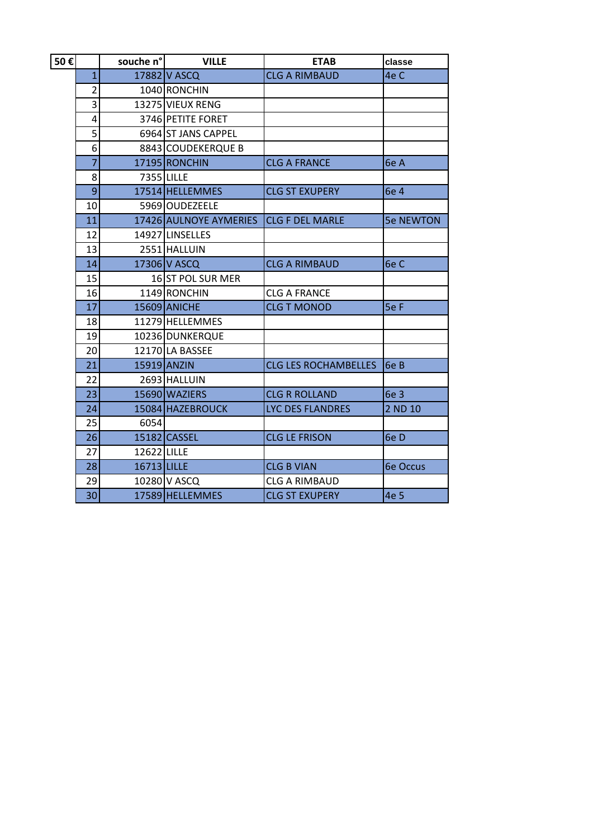| 50€ |                                | souche n°l  | <b>VILLE</b>           | <b>ETAB</b>                 | classe           |
|-----|--------------------------------|-------------|------------------------|-----------------------------|------------------|
|     | 17882 V ASCQ<br>$\overline{1}$ |             | <b>CLG A RIMBAUD</b>   | 4e C                        |                  |
|     | $\overline{2}$                 |             | 1040 RONCHIN           |                             |                  |
|     | 3                              |             | 13275 VIEUX RENG       |                             |                  |
|     | 4                              |             | 3746 PETITE FORET      |                             |                  |
|     | 5                              |             | 6964 ST JANS CAPPEL    |                             |                  |
|     | 6                              |             | 8843 COUDEKERQUE B     |                             |                  |
|     | $\overline{7}$                 |             | 17195 RONCHIN          | <b>CLG A FRANCE</b>         | 6e A             |
|     | 8                              | 7355 LILLE  |                        |                             |                  |
|     | 9                              |             | 17514 HELLEMMES        | <b>CLG ST EXUPERY</b>       | 6e 4             |
|     | 10                             |             | 5969 OUDEZEELE         |                             |                  |
|     | 11                             |             | 17426 AULNOYE AYMERIES | <b>CLG F DEL MARLE</b>      | <b>5e NEWTON</b> |
|     | 12<br>14927 LINSELLES          |             |                        |                             |                  |
|     | 13<br>2551 HALLUIN             |             |                        |                             |                  |
|     | 14<br>17306 V ASCQ             |             |                        | <b>CLG A RIMBAUD</b>        | 6e C             |
|     | 15<br>16 ST POL SUR MER        |             |                        |                             |                  |
|     | 16                             |             | 1149 RONCHIN           | <b>CLG A FRANCE</b>         |                  |
|     | 17                             |             | 15609 ANICHE           | <b>CLG T MONOD</b>          | 5e F             |
|     | 18                             |             | 11279 HELLEMMES        |                             |                  |
|     | 19                             |             | 10236 DUNKERQUE        |                             |                  |
|     | 20                             |             | 12170 LA BASSEE        |                             |                  |
|     | 21                             |             | 15919 ANZIN            | <b>CLG LES ROCHAMBELLES</b> | 6e B             |
|     | 22                             |             | 2693 HALLUIN           |                             |                  |
|     | 23                             |             | 15690 WAZIERS          | <b>CLG R ROLLAND</b>        | 6e 3             |
|     | 24                             |             | 15084 HAZEBROUCK       | <b>LYC DES FLANDRES</b>     | 2 ND 10          |
|     | 25                             | 6054        |                        |                             |                  |
|     | 26                             |             | 15182 CASSEL           | <b>CLG LE FRISON</b>        | 6e D             |
|     | 27                             | 12622 LILLE |                        |                             |                  |
|     | 28                             | 16713 LILLE |                        | <b>CLG B VIAN</b>           | <b>6e Occus</b>  |
|     | 29                             |             | 10280 V ASCQ           | <b>CLG A RIMBAUD</b>        |                  |
|     | 30 <sup>1</sup>                |             | 17589 HELLEMMES        | <b>CLG ST EXUPERY</b>       | 4e 5             |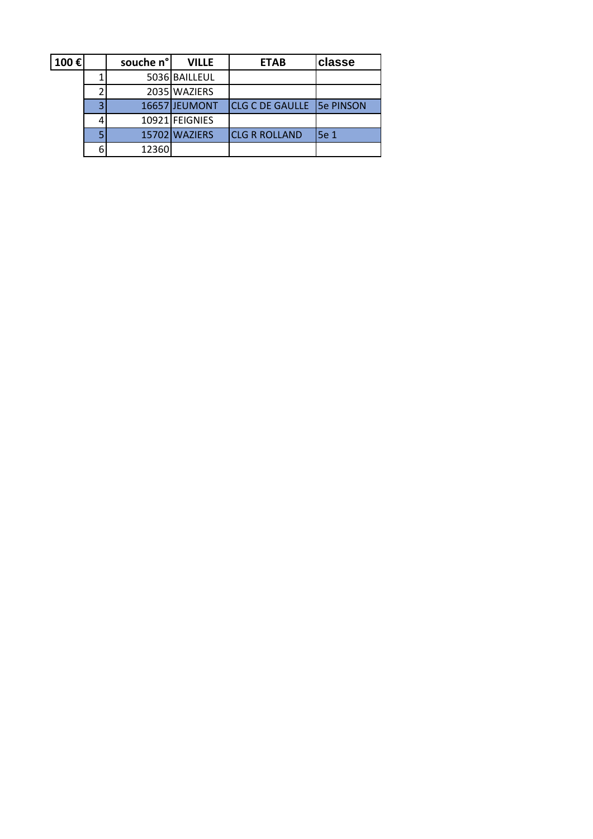| 100€ |   | souche n° | <b>VILLE</b>   | <b>ETAB</b>            | <b>classe</b>     |
|------|---|-----------|----------------|------------------------|-------------------|
|      |   |           | 5036 BAILLEUL  |                        |                   |
|      |   |           | 2035 WAZIERS   |                        |                   |
|      | э |           | 16657 JEUMONT  | <b>CLG C DE GAULLE</b> | <b>ISe PINSON</b> |
|      |   |           | 10921 FEIGNIES |                        |                   |
|      |   |           | 15702 WAZIERS  | <b>CLG R ROLLAND</b>   | <b>5e 1</b>       |
|      | 6 | 12360     |                |                        |                   |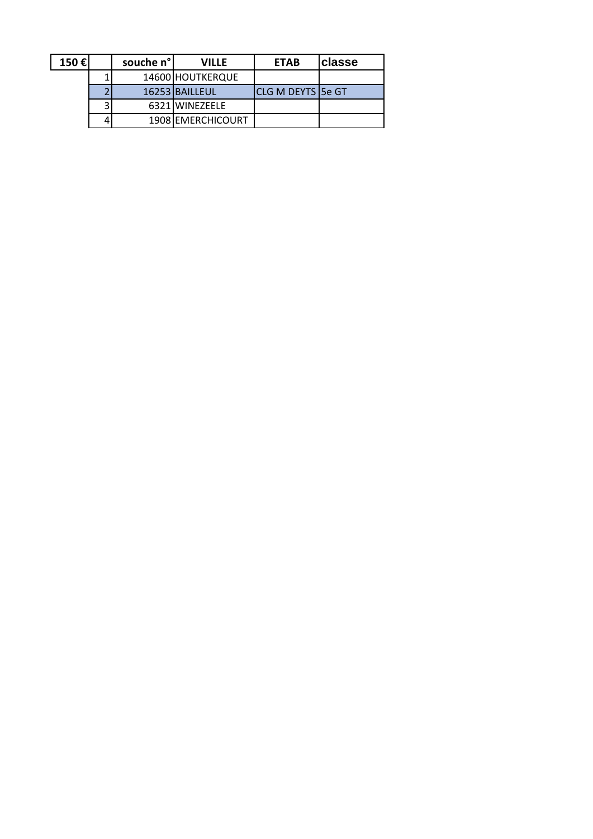| 150€ | souche n° | <b>VILLE</b>      | <b>ETAB</b>              | classe |
|------|-----------|-------------------|--------------------------|--------|
|      |           | 14600 HOUTKERQUE  |                          |        |
|      |           | 16253 BAILLEUL    | <b>CLG M DEYTS 5e GT</b> |        |
|      |           | 6321 WINEZEELE    |                          |        |
|      |           | 1908 EMERCHICOURT |                          |        |
|      |           |                   |                          |        |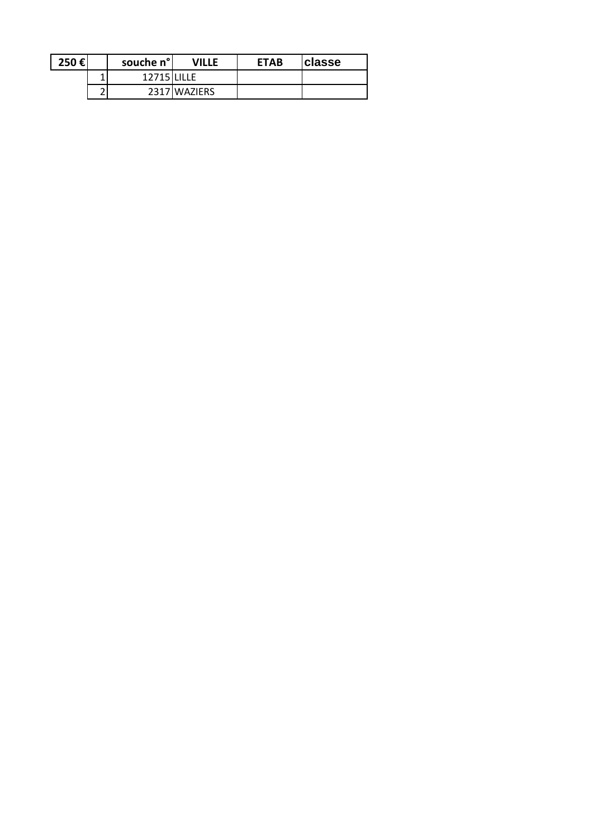| 250€ |   | souche n° | VILLE        | <b>ETAB</b> | ∣classe |
|------|---|-----------|--------------|-------------|---------|
|      |   | 12715     |              |             |         |
|      | ▃ |           | 2317 WAZIERS |             |         |